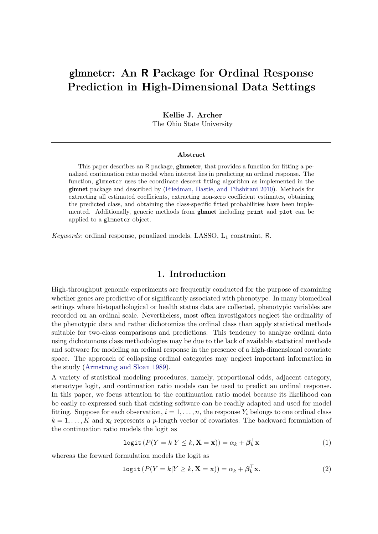# glmnetcr: An R Package for Ordinal Response Prediction in High-Dimensional Data Settings

Kellie J. Archer

The Ohio State University

#### Abstract

This paper describes an R package, **glmnetcr**, that provides a function for fitting a penalized continuation ratio model when interest lies in predicting an ordinal response. The function, glmnetcr uses the coordinate descent fitting algorithm as implemented in the glmnet package and described by [\(Friedman, Hastie, and Tibshirani](#page-9-0) [2010\)](#page-9-0). Methods for extracting all estimated coefficients, extracting non-zero coefficient estimates, obtaining the predicted class, and obtaining the class-specific fitted probabilities have been implemented. Additionally, generic methods from glmnet including print and plot can be applied to a glmnetcr object.

Keywords: ordinal response, penalized models, LASSO, L<sup>1</sup> constraint, R.

# 1. Introduction

High-throughput genomic experiments are frequently conducted for the purpose of examining whether genes are predictive of or significantly associated with phenotype. In many biomedical settings where histopathological or health status data are collected, phenotypic variables are recorded on an ordinal scale. Nevertheless, most often investigators neglect the ordinality of the phenotypic data and rather dichotomize the ordinal class than apply statistical methods suitable for two-class comparisons and predictions. This tendency to analyze ordinal data using dichotomous class methodologies may be due to the lack of available statistical methods and software for modeling an ordinal response in the presence of a high-dimensional covariate space. The approach of collapsing ordinal categories may neglect important information in the study [\(Armstrong and Sloan](#page-9-1) [1989\)](#page-9-1).

A variety of statistical modeling procedures, namely, proportional odds, adjacent category, stereotype logit, and continuation ratio models can be used to predict an ordinal response. In this paper, we focus attention to the continuation ratio model because its likelihood can be easily re-expressed such that existing software can be readily adapted and used for model fitting. Suppose for each observation,  $i = 1, \ldots, n$ , the response  $Y_i$  belongs to one ordinal class  $k = 1, \ldots, K$  and  $\mathbf{x}_i$  represents a p-length vector of covariates. The backward formulation of the continuation ratio models the logit as

$$
logit (P(Y = k | Y \le k, \mathbf{X} = \mathbf{x})) = \alpha_k + \beta_k^{\top} \mathbf{x}
$$
\n(1)

whereas the forward formulation models the logit as

$$
logit (P(Y = k|Y \ge k, \mathbf{X} = \mathbf{x})) = \alpha_k + \beta_k^{\top} \mathbf{x}.
$$
\n(2)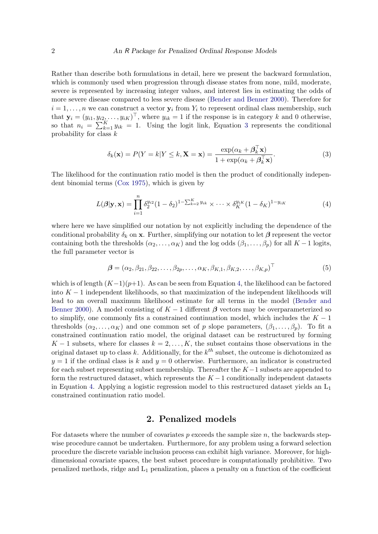Rather than describe both formulations in detail, here we present the backward formulation, which is commonly used when progression through disease states from none, mild, moderate, severe is represented by increasing integer values, and interest lies in estimating the odds of more severe disease compared to less severe disease [\(Bender and Benner](#page-9-2) [2000\)](#page-9-2). Therefore for  $i = 1, \ldots, n$  we can construct a vector  $y_i$  from  $Y_i$  to represent ordinal class membership, such that  $\mathbf{y}_i = (y_{i1}, y_{i2}, \dots, y_{iK})^\top$ , where  $y_{ik} = 1$  if the response is in category k and 0 otherwise, so that  $n_i = \sum_{k=1}^K y_{ik} = 1$ . Using the logit link, Equation [3](#page-1-0) represents the conditional probability for class  $k$ 

<span id="page-1-1"></span><span id="page-1-0"></span>
$$
\delta_k(\mathbf{x}) = P(Y = k | Y \le k, \mathbf{X} = \mathbf{x}) = \frac{\exp(\alpha_k + \beta_k^{\top} \mathbf{x})}{1 + \exp(\alpha_k + \beta_k^{\top} \mathbf{x})}.
$$
\n(3)

The likelihood for the continuation ratio model is then the product of conditionally independent binomial terms [\(Cox](#page-9-3) [1975\)](#page-9-3), which is given by

$$
L(\boldsymbol{\beta}|\mathbf{y}, \mathbf{x}) = \prod_{i=1}^{n} \delta_2^{y_{i2}} (1 - \delta_2)^{1 - \sum_{k=2}^{K} y_{ik}} \times \cdots \times \delta_K^{y_{iK}} (1 - \delta_K)^{1 - y_{iK}}
$$
(4)

where here we have simplified our notation by not explicitly including the dependence of the conditional probability  $\delta_k$  on x. Further, simplifying our notation to let  $\beta$  represent the vector containing both the thresholds  $(\alpha_2, \ldots, \alpha_K)$  and the log odds  $(\beta_1, \ldots, \beta_p)$  for all  $K - 1$  logits, the full parameter vector is

$$
\boldsymbol{\beta} = (\alpha_2, \beta_{21}, \beta_{22}, \dots, \beta_{2p}, \dots, \alpha_K, \beta_{K,1}, \beta_{K,2}, \dots, \beta_{K,p})^{\top}
$$
(5)

which is of length  $(K-1)(p+1)$ . As can be seen from Equation [4,](#page-1-1) the likelihood can be factored into  $K-1$  independent likelihoods, so that maximization of the independent likelihoods will lead to an overall maximum likelihood estimate for all terms in the model [\(Bender and](#page-9-2) [Benner](#page-9-2) [2000\)](#page-9-2). A model consisting of  $K-1$  different  $\beta$  vectors may be overparameterized so to simplify, one commonly fits a constrained continuation model, which includes the  $K - 1$ thresholds  $(\alpha_2, \ldots, \alpha_K)$  and one common set of p slope parameters,  $(\beta_1, \ldots, \beta_p)$ . To fit a constrained continuation ratio model, the original dataset can be restructured by forming  $K-1$  subsets, where for classes  $k = 2, \ldots, K$ , the subset contains those observations in the original dataset up to class k. Additionally, for the  $k^{th}$  subset, the outcome is dichotomized as  $y = 1$  if the ordinal class is k and  $y = 0$  otherwise. Furthermore, an indicator is constructed for each subset representing subset membership. Thereafter the  $K-1$  subsets are appended to form the restructured dataset, which represents the  $K-1$  conditionally independent datasets in Equation [4.](#page-1-1) Applying a logistic regression model to this restructured dataset yields an  $L_1$ constrained continuation ratio model.

### 2. Penalized models

For datasets where the number of covariates  $p$  exceeds the sample size  $n$ , the backwards stepwise procedure cannot be undertaken. Furthermore, for any problem using a forward selection procedure the discrete variable inclusion process can exhibit high variance. Moreover, for highdimensional covariate spaces, the best subset procedure is computationally prohibitive. Two penalized methods, ridge and  $L_1$  penalization, places a penalty on a function of the coefficient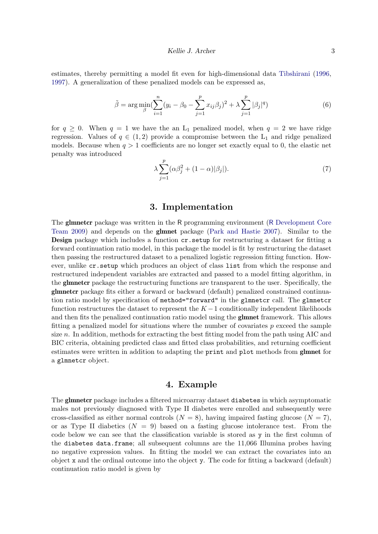estimates, thereby permitting a model fit even for high-dimensional data [Tibshirani](#page-9-4) [\(1996,](#page-9-4) [1997\)](#page-9-5). A generalization of these penalized models can be expressed as,

$$
\tilde{\beta} = \arg \min_{\beta} \left( \sum_{i=1}^{n} (y_i - \beta_0 - \sum_{j=1}^{p} x_{ij} \beta_j)^2 + \lambda \sum_{j=1}^{p} |\beta_j|^q \right) \tag{6}
$$

for  $q \geq 0$ . When  $q = 1$  we have the an  $L_1$  penalized model, when  $q = 2$  we have ridge regression. Values of  $q \in (1,2)$  provide a compromise between the L<sub>1</sub> and ridge penalized models. Because when  $q > 1$  coefficients are no longer set exactly equal to 0, the elastic net penalty was introduced

$$
\lambda \sum_{j=1}^{p} (\alpha \beta_j^2 + (1 - \alpha)|\beta_j|). \tag{7}
$$

### 3. Implementation

The glmnetcr package was written in the R programming environment (R [Development Core](#page-9-6) [Team](#page-9-6) [2009\)](#page-9-6) and depends on the glmnet package [\(Park and Hastie](#page-9-7) [2007\)](#page-9-7). Similar to the Design package which includes a function cr.setup for restructuring a dataset for fitting a forward continuation ratio model, in this package the model is fit by restructuring the dataset then passing the restructured dataset to a penalized logistic regression fitting function. However, unlike cr.setup which produces an object of class list from which the response and restructured independent variables are extracted and passed to a model fitting algorithm, in the glmnetcr package the restructuring functions are transparent to the user. Specifically, the glmnetcr package fits either a forward or backward (default) penalized constrained continuation ratio model by specification of method="forward" in the glmnetcr call. The glmnetcr function restructures the dataset to represent the  $K-1$  conditionally independent likelihoods and then fits the penalized continuation ratio model using the glmnet framework. This allows fitting a penalized model for situations where the number of covariates  $p$  exceed the sample size n. In addition, methods for extracting the best fitting model from the path using AIC and BIC criteria, obtaining predicted class and fitted class probabilities, and returning coefficient estimates were written in addition to adapting the print and plot methods from glmnet for a glmnetcr object.

#### 4. Example

The glmnetcr package includes a filtered microarray dataset diabetes in which asymptomatic males not previously diagnosed with Type II diabetes were enrolled and subsequently were cross-classified as either normal controls  $(N = 8)$ , having impaired fasting glucose  $(N = 7)$ , or as Type II diabetics  $(N = 9)$  based on a fasting glucose intolerance test. From the code below we can see that the classification variable is stored as y in the first column of the diabetes data.frame; all subsequent columns are the 11,066 Illumina probes having no negative expression values. In fitting the model we can extract the covariates into an object x and the ordinal outcome into the object y. The code for fitting a backward (default) continuation ratio model is given by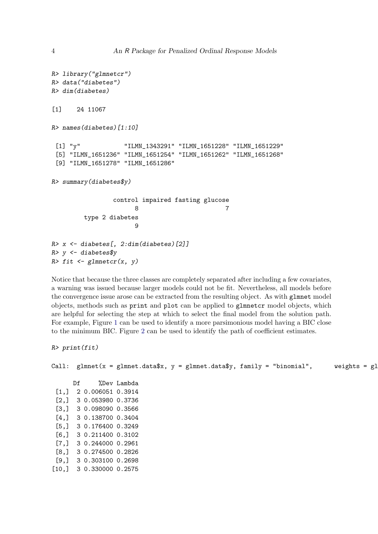```
R> library("glmnetcr")
R> data("diabetes")
R> dim(diabetes)
[1] 24 11067
R> names(diabetes)[1:10]
 [1] "y" "ILMN_1343291" "ILMN_1651228" "ILMN_1651229"
 [5] "ILMN_1651236" "ILMN_1651254" "ILMN_1651262" "ILMN_1651268"
 [9] "ILMN_1651278" "ILMN_1651286"
R> summary(diabetes$y)
                control impaired fasting glucose
                      8 7
        type 2 diabetes
                     9
R> x <- diabetes[, 2:dim(diabetes)[2]]
R> y <- diabetes$y
R> fit <- glmnetcr(x, y)
```
Notice that because the three classes are completely separated after including a few covariates, a warning was issued because larger models could not be fit. Nevertheless, all models before the convergence issue arose can be extracted from the resulting object. As with glmnet model objects, methods such as print and plot can be applied to glmnetcr model objects, which are helpful for selecting the step at which to select the final model from the solution path. For example, Figure [1](#page-4-0) can be used to identify a more parsimonious model having a BIC close to the minimum BIC. Figure [2](#page-5-0) can be used to identify the path of coefficient estimates.

```
R> print(fit)
```
Call: glmnet(x = glmnet.data\$x, y = glmnet.data\$y, family = "binomial", weights = gl

Df %Dev Lambda [1,] 2 0.006051 0.3914 [2,] 3 0.053980 0.3736 [3,] 3 0.098090 0.3566 [4,] 3 0.138700 0.3404 [5,] 3 0.176400 0.3249 [6,] 3 0.211400 0.3102 [7,] 3 0.244000 0.2961 [8,] 3 0.274500 0.2826 [9,] 3 0.303100 0.2698 [10,] 3 0.330000 0.2575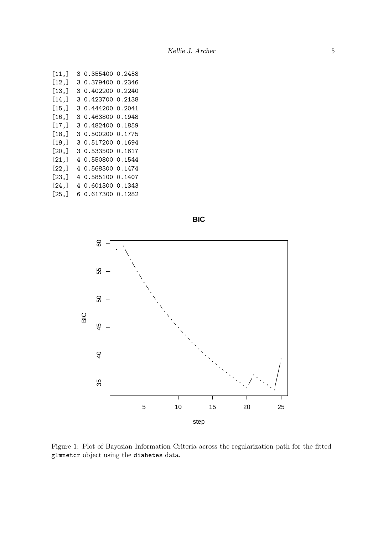| [11,  |   | 3 0.355400 | 0.2458 |
|-------|---|------------|--------|
| [12,] |   | 3 0.379400 | 0.2346 |
| [13,] | 3 | 0.402200   | 0.2240 |
| [14,] |   | 3 0.423700 | 0.2138 |
| [15,] |   | 3 0.444200 | 0.2041 |
| [16,] |   | 3 0.463800 | 0.1948 |
| [17,] |   | 3 0.482400 | 0.1859 |
| [18,] |   | 3 0.500200 | 0.1775 |
| [19,] |   | 3 0.517200 | 0.1694 |
| [20,] |   | 3 0.533500 | 0.1617 |
| [21,] |   | 4 0.550800 | 0.1544 |
| [22,] |   | 4 0.568300 | 0.1474 |
| [23,] |   | 4 0.585100 | 0.1407 |
| [24,] |   | 4 0.601300 | 0.1343 |
| [25,] |   | 6 0.617300 | 0.1282 |



**BIC**

<span id="page-4-0"></span>Figure 1: Plot of Bayesian Information Criteria across the regularization path for the fitted glmnetcr object using the diabetes data.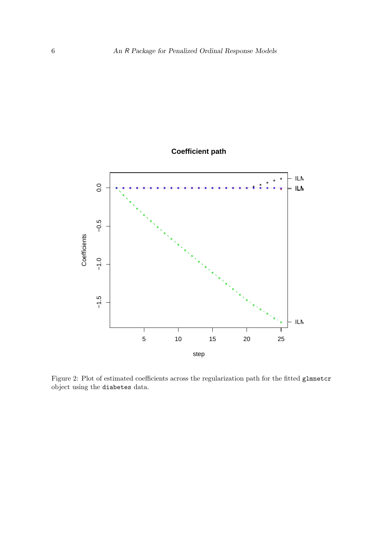



<span id="page-5-0"></span>Figure 2: Plot of estimated coefficients across the regularization path for the fitted glmnetcr object using the diabetes data.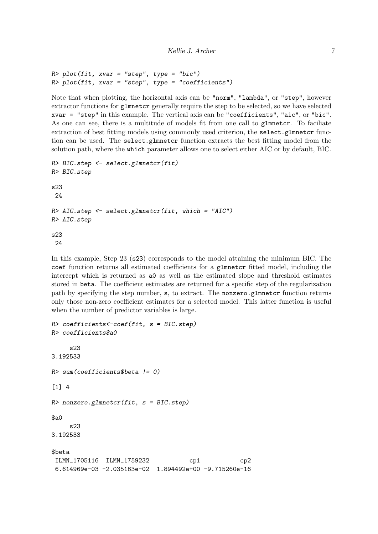```
R> plot(fit, xvar = "step", type = "bic")
R> plot(fit, xvar = "step", type = "coefficients")
```
Note that when plotting, the horizontal axis can be "norm", "lambda", or "step", however extractor functions for glmnetcr generally require the step to be selected, so we have selected xvar = "step" in this example. The vertical axis can be "coefficients", "aic", or "bic". As one can see, there is a multitude of models fit from one call to glmnetcr. To faciliate extraction of best fitting models using commonly used criterion, the select.glmnetcr function can be used. The select.glmnetcr function extracts the best fitting model from the solution path, where the which parameter allows one to select either AIC or by default, BIC.

```
R> BIC.step <- select.glmnetcr(fit)
R> BIC.step
s23
24
R> AIC.step <- select.glmnetcr(fit, which = "AIC")
R> AIC.step
s23
24
```
In this example, Step 23 (s23) corresponds to the model attaining the minimum BIC. The coef function returns all estimated coefficients for a glmnetcr fitted model, including the intercept which is returned as a0 as well as the estimated slope and threshold estimates stored in beta. The coefficient estimates are returned for a specific step of the regularization path by specifying the step number, s, to extract. The nonzero.glmnetcr function returns only those non-zero coefficient estimates for a selected model. This latter function is useful when the number of predictor variables is large.

```
R> coefficients <- coef(fit, s = BIC.step)
R> coefficients$a0
    s23
3.192533
R> sum(coefficients$beta != 0)
\lceil 1 \rceil 4
R> nonzero.glmnetcr(fit, s = BIC.step)
$a0s23
3.192533
$beta
ILMN_1705116 ILMN_1759232 cp1 cp2
6.614969e-03 -2.035163e-02 1.894492e+00 -9.715260e-16
```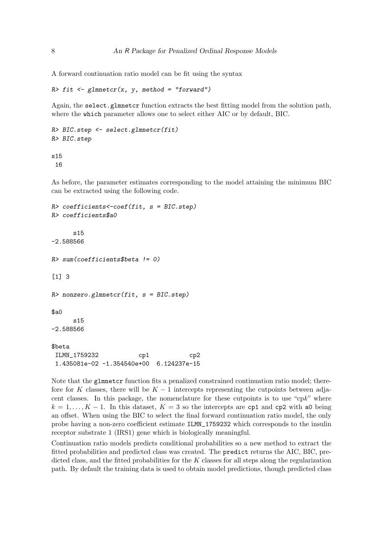A forward continuation ratio model can be fit using the syntax

```
R> fit <- glmnetcr(x, y, method = "forward")
```
Again, the select.glmnetcr function extracts the best fitting model from the solution path, where the which parameter allows one to select either AIC or by default, BIC.

```
R> BIC.step <- select.glmnetcr(fit)
R> BIC.step
```
s15 16

As before, the parameter estimates corresponding to the model attaining the minimum BIC can be extracted using the following code.

```
R> coefficients < - coef(fit, s = BIC. step)
R> coefficients$a0
     s15
-2.588566
R> sum(coefficients$beta != 0)
[1] 3
R> nonzero.glmnetcr(fit, s = BIC.step)
$a0
     s15
-2.588566
$beta
ILMN_1759232 cp1 cp2
 1.435081e-02 -1.354540e+00 6.124237e-15
```
Note that the glmnetcr function fits a penalized constrained continuation ratio model; therefore for K classes, there will be  $K-1$  intercepts representing the cutpoints between adjacent classes. In this package, the nomenclature for these cutpoints is to use "cpk" where  $k = 1, \ldots, K - 1$ . In this dataset,  $K = 3$  so the intercepts are cp1 and cp2 with a0 being an offset. When using the BIC to select the final forward continuation ratio model, the only probe having a non-zero coefficient estimate ILMN\_1759232 which corresponds to the insulin receptor substrate 1 (IRS1) gene which is biologically meaningful.

Continuation ratio models predicts conditional probabilities so a new method to extract the fitted probabilities and predicted class was created. The predict returns the AIC, BIC, predicted class, and the fitted probabilities for the  $K$  classes for all steps along the regularization path. By default the training data is used to obtain model predictions, though predicted class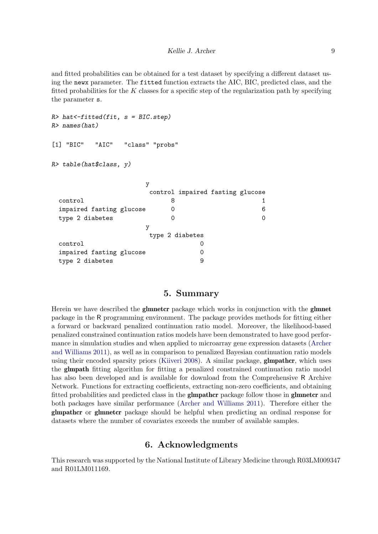and fitted probabilities can be obtained for a test dataset by specifying a different dataset using the newx parameter. The fitted function extracts the AIC, BIC, predicted class, and the fitted probabilities for the  $K$  classes for a specific step of the regularization path by specifying the parameter s.

```
R> hat<-fitted(fit, s = BIC. step)
R> names(hat)
[1] "BIC" "AIC" "class" "probs"
R> table(hat$class, y)
               y
                control impaired fasting glucose
 control 8 1
 impaired fasting glucose 0 6
 type 2 diabetes 0 0
                y
                type 2 diabetes
 control 0
 impaired fasting glucose 0
 type 2 diabetes 9
```
## 5. Summary

Herein we have described the **glmnetcr** package which works in conjunction with the **glmnet** package in the R programming environment. The package provides methods for fitting either a forward or backward penalized continuation ratio model. Moreover, the likelihood-based penalized constrained continuation ratios models have been demonstrated to have good performance in simulation studies and when applied to microarray gene expression datasets [\(Archer](#page-9-8) [and Williams](#page-9-8) [2011\)](#page-9-8), as well as in comparison to penalized Bayesian continuation ratio models using their encoded sparsity priors [\(Kiiveri](#page-9-9) [2008\)](#page-9-9). A similar package, **glmpather**, which uses the glmpath fitting algorithm for fitting a penalized constrained continuation ratio model has also been developed and is available for download from the Comprehensive R Archive Network. Functions for extracting coefficients, extracting non-zero coefficients, and obtaining fitted probabilities and predicted class in the **glmpathcr** package follow those in **glmnetcr** and both packages have similar performance [\(Archer and Williams](#page-9-8) [2011\)](#page-9-8). Therefore either the glmpathcr or glmnetcr package should be helpful when predicting an ordinal response for datasets where the number of covariates exceeds the number of available samples.

## 6. Acknowledgments

This research was supported by the National Institute of Library Medicine through R03LM009347 and R01LM011169.